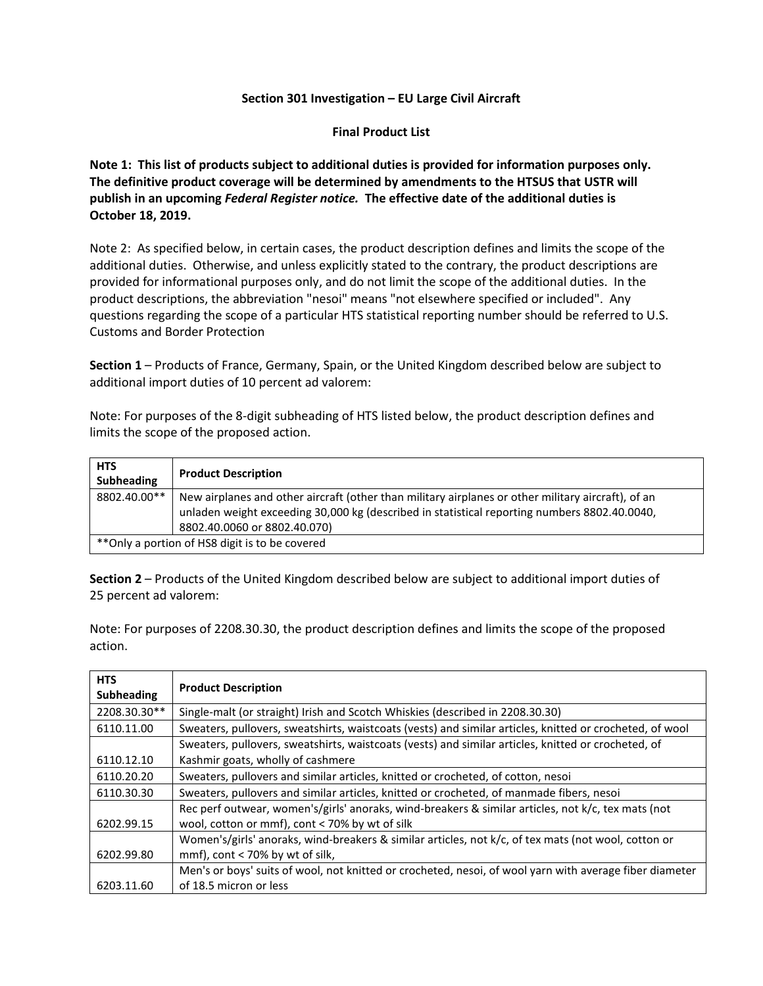## **Section 301 Investigation – EU Large Civil Aircraft**

**Final Product List**

**Note 1: This list of products subject to additional duties is provided for information purposes only. The definitive product coverage will be determined by amendments to the HTSUS that USTR will publish in an upcoming** *Federal Register notice.* **The effective date of the additional duties is October 18, 2019.** 

Note 2: As specified below, in certain cases, the product description defines and limits the scope of the additional duties. Otherwise, and unless explicitly stated to the contrary, the product descriptions are provided for informational purposes only, and do not limit the scope of the additional duties. In the product descriptions, the abbreviation "nesoi" means "not elsewhere specified or included". Any questions regarding the scope of a particular HTS statistical reporting number should be referred to U.S. Customs and Border Protection

**Section 1** – Products of France, Germany, Spain, or the United Kingdom described below are subject to additional import duties of 10 percent ad valorem:

Note: For purposes of the 8-digit subheading of HTS listed below, the product description defines and limits the scope of the proposed action.

| <b>HTS</b><br><b>Subheading</b>                | <b>Product Description</b>                                                                                                                                                                                                         |
|------------------------------------------------|------------------------------------------------------------------------------------------------------------------------------------------------------------------------------------------------------------------------------------|
| 8802.40.00**                                   | New airplanes and other aircraft (other than military airplanes or other military aircraft), of an<br>unladen weight exceeding 30,000 kg (described in statistical reporting numbers 8802.40.0040,<br>8802.40.0060 or 8802.40.070) |
| **Only a portion of HS8 digit is to be covered |                                                                                                                                                                                                                                    |

**Section 2** – Products of the United Kingdom described below are subject to additional import duties of 25 percent ad valorem:

Note: For purposes of 2208.30.30, the product description defines and limits the scope of the proposed action.

| <b>HTS</b><br><b>Subheading</b> | <b>Product Description</b>                                                                                                                           |
|---------------------------------|------------------------------------------------------------------------------------------------------------------------------------------------------|
| 2208.30.30**                    | Single-malt (or straight) Irish and Scotch Whiskies (described in 2208.30.30)                                                                        |
| 6110.11.00                      | Sweaters, pullovers, sweatshirts, waistcoats (vests) and similar articles, knitted or crocheted, of wool                                             |
| 6110.12.10                      | Sweaters, pullovers, sweatshirts, waistcoats (vests) and similar articles, knitted or crocheted, of<br>Kashmir goats, wholly of cashmere             |
| 6110.20.20                      | Sweaters, pullovers and similar articles, knitted or crocheted, of cotton, nesoi                                                                     |
| 6110.30.30                      | Sweaters, pullovers and similar articles, knitted or crocheted, of manmade fibers, nesoi                                                             |
| 6202.99.15                      | Rec perf outwear, women's/girls' anoraks, wind-breakers & similar articles, not k/c, tex mats (not<br>wool, cotton or mmf), cont < 70% by wt of silk |
| 6202.99.80                      | Women's/girls' anoraks, wind-breakers & similar articles, not k/c, of tex mats (not wool, cotton or<br>mmf), cont $<$ 70% by wt of silk,             |
| 6203.11.60                      | Men's or boys' suits of wool, not knitted or crocheted, nesoi, of wool yarn with average fiber diameter<br>of 18.5 micron or less                    |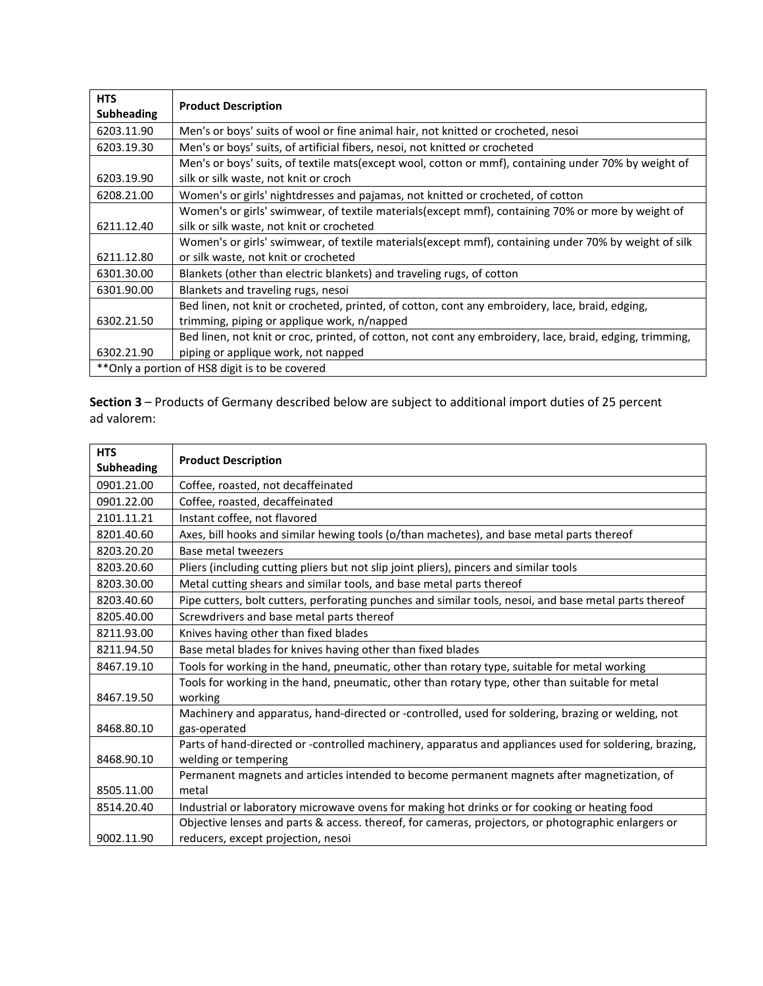| <b>HTS</b><br><b>Subheading</b> | <b>Product Description</b>                                                                                                                     |
|---------------------------------|------------------------------------------------------------------------------------------------------------------------------------------------|
| 6203.11.90                      | Men's or boys' suits of wool or fine animal hair, not knitted or crocheted, nesoi                                                              |
| 6203.19.30                      | Men's or boys' suits, of artificial fibers, nesoi, not knitted or crocheted                                                                    |
| 6203.19.90                      | Men's or boys' suits, of textile mats (except wool, cotton or mmf), containing under 70% by weight of<br>silk or silk waste, not knit or croch |
| 6208.21.00                      | Women's or girls' nightdresses and pajamas, not knitted or crocheted, of cotton                                                                |
|                                 | Women's or girls' swimwear, of textile materials(except mmf), containing 70% or more by weight of                                              |
| 6211.12.40                      | silk or silk waste, not knit or crocheted                                                                                                      |
|                                 | Women's or girls' swimwear, of textile materials(except mmf), containing under 70% by weight of silk                                           |
| 6211.12.80                      | or silk waste, not knit or crocheted                                                                                                           |
| 6301.30.00                      | Blankets (other than electric blankets) and traveling rugs, of cotton                                                                          |
| 6301.90.00                      | Blankets and traveling rugs, nesoi                                                                                                             |
|                                 | Bed linen, not knit or crocheted, printed, of cotton, cont any embroidery, lace, braid, edging,                                                |
| 6302.21.50                      | trimming, piping or applique work, n/napped                                                                                                    |
|                                 | Bed linen, not knit or croc, printed, of cotton, not cont any embroidery, lace, braid, edging, trimming,                                       |
| 6302.21.90                      | piping or applique work, not napped                                                                                                            |
|                                 | **Only a portion of HS8 digit is to be covered                                                                                                 |

**Section 3** – Products of Germany described below are subject to additional import duties of 25 percent ad valorem:

| <b>HTS</b><br><b>Subheading</b> | <b>Product Description</b>                                                                                                                |
|---------------------------------|-------------------------------------------------------------------------------------------------------------------------------------------|
| 0901.21.00                      | Coffee, roasted, not decaffeinated                                                                                                        |
| 0901.22.00                      | Coffee, roasted, decaffeinated                                                                                                            |
| 2101.11.21                      | Instant coffee, not flavored                                                                                                              |
| 8201.40.60                      | Axes, bill hooks and similar hewing tools (o/than machetes), and base metal parts thereof                                                 |
| 8203.20.20                      | Base metal tweezers                                                                                                                       |
| 8203.20.60                      | Pliers (including cutting pliers but not slip joint pliers), pincers and similar tools                                                    |
| 8203.30.00                      | Metal cutting shears and similar tools, and base metal parts thereof                                                                      |
| 8203.40.60                      | Pipe cutters, bolt cutters, perforating punches and similar tools, nesoi, and base metal parts thereof                                    |
| 8205.40.00                      | Screwdrivers and base metal parts thereof                                                                                                 |
| 8211.93.00                      | Knives having other than fixed blades                                                                                                     |
| 8211.94.50                      | Base metal blades for knives having other than fixed blades                                                                               |
| 8467.19.10                      | Tools for working in the hand, pneumatic, other than rotary type, suitable for metal working                                              |
| 8467.19.50                      | Tools for working in the hand, pneumatic, other than rotary type, other than suitable for metal<br>working                                |
| 8468.80.10                      | Machinery and apparatus, hand-directed or -controlled, used for soldering, brazing or welding, not<br>gas-operated                        |
| 8468.90.10                      | Parts of hand-directed or -controlled machinery, apparatus and appliances used for soldering, brazing,<br>welding or tempering            |
| 8505.11.00                      | Permanent magnets and articles intended to become permanent magnets after magnetization, of<br>metal                                      |
| 8514.20.40                      | Industrial or laboratory microwave ovens for making hot drinks or for cooking or heating food                                             |
| 9002.11.90                      | Objective lenses and parts & access. thereof, for cameras, projectors, or photographic enlargers or<br>reducers, except projection, nesoi |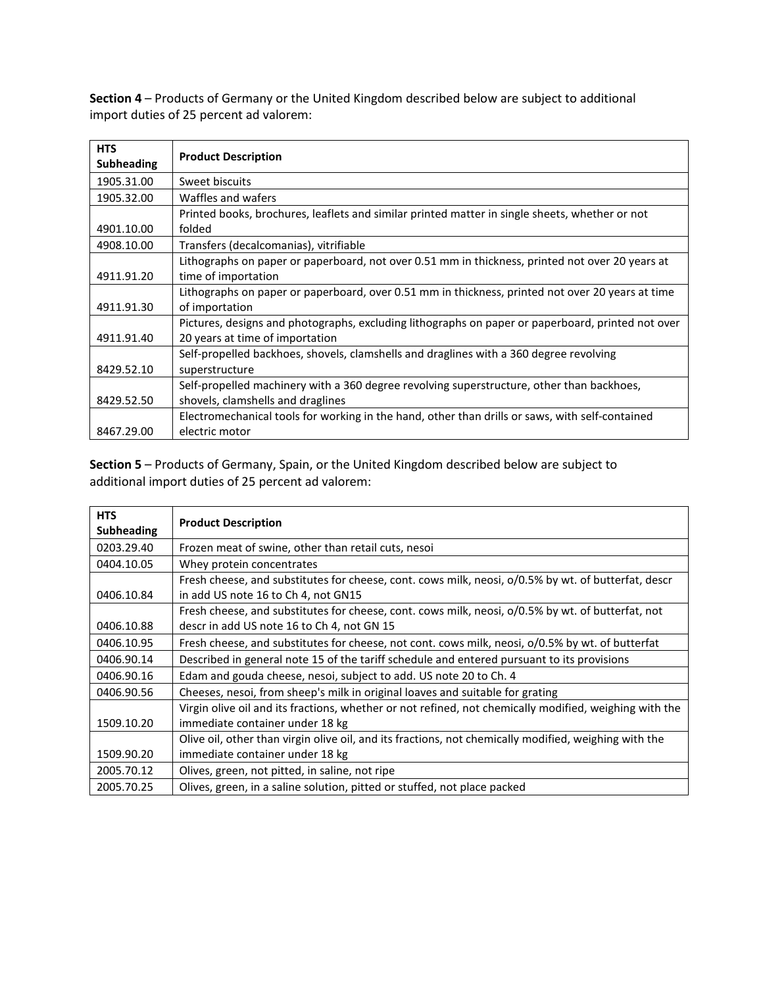**Section 4** – Products of Germany or the United Kingdom described below are subject to additional import duties of 25 percent ad valorem:

| <b>HTS</b><br><b>Subheading</b> | <b>Product Description</b>                                                                                                           |
|---------------------------------|--------------------------------------------------------------------------------------------------------------------------------------|
| 1905.31.00                      | Sweet biscuits                                                                                                                       |
| 1905.32.00                      | Waffles and wafers                                                                                                                   |
|                                 | Printed books, brochures, leaflets and similar printed matter in single sheets, whether or not                                       |
| 4901.10.00                      | folded                                                                                                                               |
| 4908.10.00                      | Transfers (decalcomanias), vitrifiable                                                                                               |
|                                 | Lithographs on paper or paperboard, not over 0.51 mm in thickness, printed not over 20 years at                                      |
| 4911.91.20                      | time of importation                                                                                                                  |
|                                 | Lithographs on paper or paperboard, over 0.51 mm in thickness, printed not over 20 years at time                                     |
| 4911.91.30                      | of importation                                                                                                                       |
| 4911.91.40                      | Pictures, designs and photographs, excluding lithographs on paper or paperboard, printed not over<br>20 years at time of importation |
|                                 | Self-propelled backhoes, shovels, clamshells and draglines with a 360 degree revolving                                               |
| 8429.52.10                      | superstructure                                                                                                                       |
|                                 | Self-propelled machinery with a 360 degree revolving superstructure, other than backhoes,                                            |
| 8429.52.50                      | shovels, clamshells and draglines                                                                                                    |
|                                 | Electromechanical tools for working in the hand, other than drills or saws, with self-contained                                      |
| 8467.29.00                      | electric motor                                                                                                                       |

**Section 5** – Products of Germany, Spain, or the United Kingdom described below are subject to additional import duties of 25 percent ad valorem:

| <b>HTS</b><br><b>Subheading</b> | <b>Product Description</b>                                                                                                                      |
|---------------------------------|-------------------------------------------------------------------------------------------------------------------------------------------------|
| 0203.29.40                      | Frozen meat of swine, other than retail cuts, nesoi                                                                                             |
| 0404.10.05                      | Whey protein concentrates                                                                                                                       |
| 0406.10.84                      | Fresh cheese, and substitutes for cheese, cont. cows milk, neosi, o/0.5% by wt. of butterfat, descr<br>in add US note 16 to Ch 4, not GN15      |
| 0406.10.88                      | Fresh cheese, and substitutes for cheese, cont. cows milk, neosi, o/0.5% by wt. of butterfat, not<br>descr in add US note 16 to Ch 4, not GN 15 |
| 0406.10.95                      | Fresh cheese, and substitutes for cheese, not cont. cows milk, neosi, o/0.5% by wt. of butterfat                                                |
| 0406.90.14                      | Described in general note 15 of the tariff schedule and entered pursuant to its provisions                                                      |
| 0406.90.16                      | Edam and gouda cheese, nesoi, subject to add. US note 20 to Ch. 4                                                                               |
| 0406.90.56                      | Cheeses, nesoi, from sheep's milk in original loaves and suitable for grating                                                                   |
|                                 | Virgin olive oil and its fractions, whether or not refined, not chemically modified, weighing with the                                          |
| 1509.10.20                      | immediate container under 18 kg                                                                                                                 |
|                                 | Olive oil, other than virgin olive oil, and its fractions, not chemically modified, weighing with the                                           |
| 1509.90.20                      | immediate container under 18 kg                                                                                                                 |
| 2005.70.12                      | Olives, green, not pitted, in saline, not ripe                                                                                                  |
| 2005.70.25                      | Olives, green, in a saline solution, pitted or stuffed, not place packed                                                                        |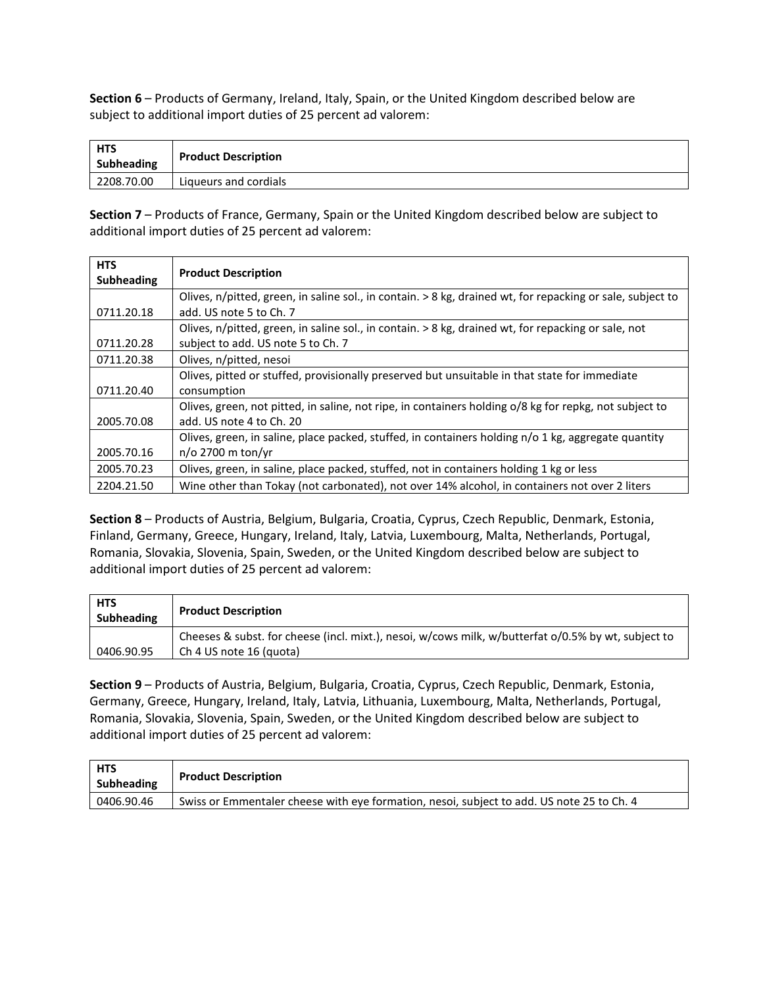**Section 6** – Products of Germany, Ireland, Italy, Spain, or the United Kingdom described below are subject to additional import duties of 25 percent ad valorem:

| <b>HTS</b><br>Subheading | <b>Product Description</b> |
|--------------------------|----------------------------|
| 2208.70.00               | Liqueurs and cordials      |

**Section 7** – Products of France, Germany, Spain or the United Kingdom described below are subject to additional import duties of 25 percent ad valorem:

| <b>HTS</b><br><b>Subheading</b> | <b>Product Description</b>                                                                                 |
|---------------------------------|------------------------------------------------------------------------------------------------------------|
|                                 | Olives, n/pitted, green, in saline sol., in contain. > 8 kg, drained wt, for repacking or sale, subject to |
| 0711.20.18                      | add. US note 5 to Ch. 7                                                                                    |
|                                 | Olives, n/pitted, green, in saline sol., in contain. > 8 kg, drained wt, for repacking or sale, not        |
| 0711.20.28                      | subject to add. US note 5 to Ch. 7                                                                         |
| 0711.20.38                      | Olives, n/pitted, nesoi                                                                                    |
|                                 | Olives, pitted or stuffed, provisionally preserved but unsuitable in that state for immediate              |
| 0711.20.40                      | consumption                                                                                                |
|                                 | Olives, green, not pitted, in saline, not ripe, in containers holding o/8 kg for repkg, not subject to     |
| 2005.70.08                      | add. US note 4 to Ch. 20                                                                                   |
|                                 | Olives, green, in saline, place packed, stuffed, in containers holding n/o 1 kg, aggregate quantity        |
| 2005.70.16                      | $n$ /o 2700 m ton/yr                                                                                       |
| 2005.70.23                      | Olives, green, in saline, place packed, stuffed, not in containers holding 1 kg or less                    |
| 2204.21.50                      | Wine other than Tokay (not carbonated), not over 14% alcohol, in containers not over 2 liters              |

**Section 8** – Products of Austria, Belgium, Bulgaria, Croatia, Cyprus, Czech Republic, Denmark, Estonia, Finland, Germany, Greece, Hungary, Ireland, Italy, Latvia, Luxembourg, Malta, Netherlands, Portugal, Romania, Slovakia, Slovenia, Spain, Sweden, or the United Kingdom described below are subject to additional import duties of 25 percent ad valorem:

| <b>HTS</b><br><b>Subheading</b> | <b>Product Description</b>                                                                                                     |
|---------------------------------|--------------------------------------------------------------------------------------------------------------------------------|
| 0406.90.95                      | Cheeses & subst. for cheese (incl. mixt.), nesoi, w/cows milk, w/butterfat o/0.5% by wt, subject to<br>Ch 4 US note 16 (quota) |

**Section 9** – Products of Austria, Belgium, Bulgaria, Croatia, Cyprus, Czech Republic, Denmark, Estonia, Germany, Greece, Hungary, Ireland, Italy, Latvia, Lithuania, Luxembourg, Malta, Netherlands, Portugal, Romania, Slovakia, Slovenia, Spain, Sweden, or the United Kingdom described below are subject to additional import duties of 25 percent ad valorem:

| <b>HTS</b><br>Subheading | <b>Product Description</b>                                                                |
|--------------------------|-------------------------------------------------------------------------------------------|
| 0406.90.46               | Swiss or Emmentaler cheese with eye formation, nesoi, subject to add. US note 25 to Ch. 4 |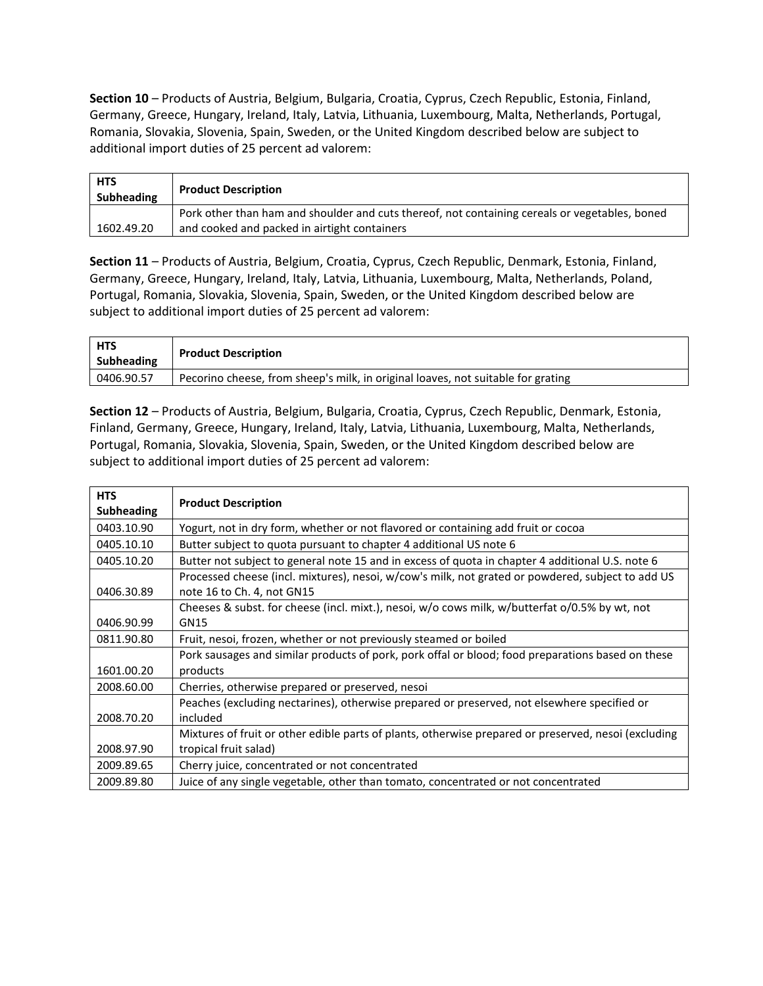**Section 10** – Products of Austria, Belgium, Bulgaria, Croatia, Cyprus, Czech Republic, Estonia, Finland, Germany, Greece, Hungary, Ireland, Italy, Latvia, Lithuania, Luxembourg, Malta, Netherlands, Portugal, Romania, Slovakia, Slovenia, Spain, Sweden, or the United Kingdom described below are subject to additional import duties of 25 percent ad valorem:

| <b>HTS</b><br>Subheading | <b>Product Description</b>                                                                                                                     |
|--------------------------|------------------------------------------------------------------------------------------------------------------------------------------------|
| 1602.49.20               | Pork other than ham and shoulder and cuts thereof, not containing cereals or vegetables, boned<br>and cooked and packed in airtight containers |

**Section 11** – Products of Austria, Belgium, Croatia, Cyprus, Czech Republic, Denmark, Estonia, Finland, Germany, Greece, Hungary, Ireland, Italy, Latvia, Lithuania, Luxembourg, Malta, Netherlands, Poland, Portugal, Romania, Slovakia, Slovenia, Spain, Sweden, or the United Kingdom described below are subject to additional import duties of 25 percent ad valorem:

| HTS<br>Subheading | <b>Product Description</b>                                                       |
|-------------------|----------------------------------------------------------------------------------|
| 0406.90.57        | Pecorino cheese, from sheep's milk, in original loaves, not suitable for grating |

**Section 12** – Products of Austria, Belgium, Bulgaria, Croatia, Cyprus, Czech Republic, Denmark, Estonia, Finland, Germany, Greece, Hungary, Ireland, Italy, Latvia, Lithuania, Luxembourg, Malta, Netherlands, Portugal, Romania, Slovakia, Slovenia, Spain, Sweden, or the United Kingdom described below are subject to additional import duties of 25 percent ad valorem:

| <b>HTS</b><br><b>Subheading</b> | <b>Product Description</b>                                                                                                      |
|---------------------------------|---------------------------------------------------------------------------------------------------------------------------------|
| 0403.10.90                      | Yogurt, not in dry form, whether or not flavored or containing add fruit or cocoa                                               |
| 0405.10.10                      | Butter subject to quota pursuant to chapter 4 additional US note 6                                                              |
| 0405.10.20                      | Butter not subject to general note 15 and in excess of quota in chapter 4 additional U.S. note 6                                |
| 0406.30.89                      | Processed cheese (incl. mixtures), nesoi, w/cow's milk, not grated or powdered, subject to add US<br>note 16 to Ch. 4, not GN15 |
|                                 | Cheeses & subst. for cheese (incl. mixt.), nesoi, w/o cows milk, w/butterfat o/0.5% by wt, not                                  |
| 0406.90.99                      | GN15                                                                                                                            |
| 0811.90.80                      | Fruit, nesoi, frozen, whether or not previously steamed or boiled                                                               |
|                                 | Pork sausages and similar products of pork, pork offal or blood; food preparations based on these                               |
| 1601.00.20                      | products                                                                                                                        |
| 2008.60.00                      | Cherries, otherwise prepared or preserved, nesoi                                                                                |
|                                 | Peaches (excluding nectarines), otherwise prepared or preserved, not elsewhere specified or                                     |
| 2008.70.20                      | included                                                                                                                        |
|                                 | Mixtures of fruit or other edible parts of plants, otherwise prepared or preserved, nesoi (excluding                            |
| 2008.97.90                      | tropical fruit salad)                                                                                                           |
| 2009.89.65                      | Cherry juice, concentrated or not concentrated                                                                                  |
| 2009.89.80                      | Juice of any single vegetable, other than tomato, concentrated or not concentrated                                              |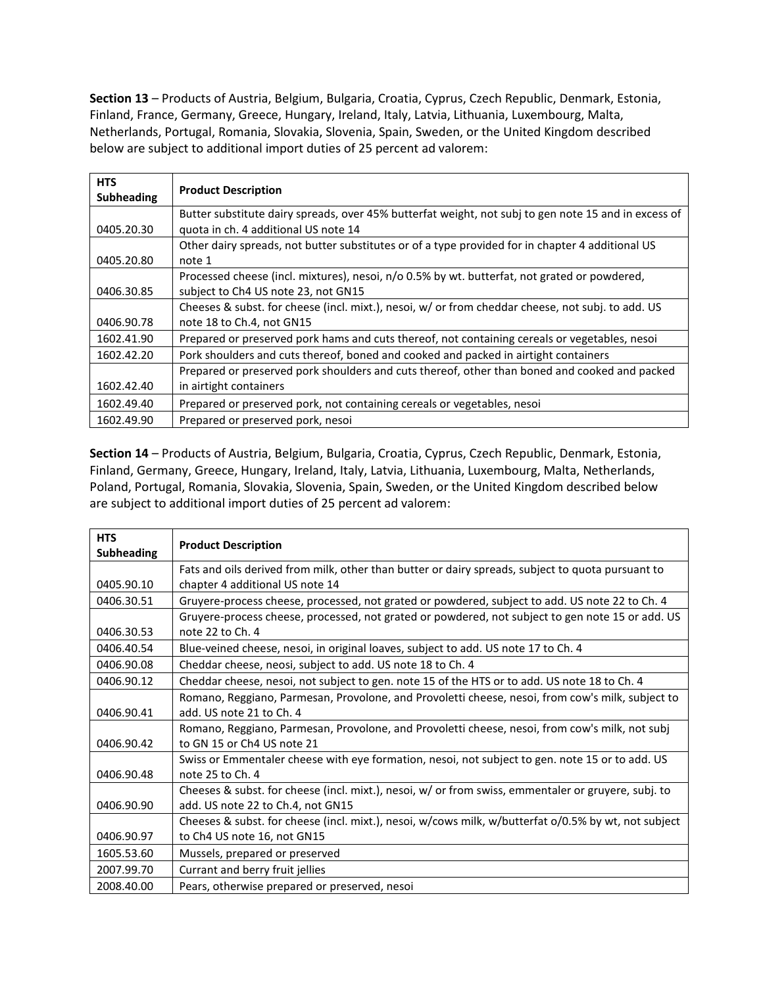**Section 13** – Products of Austria, Belgium, Bulgaria, Croatia, Cyprus, Czech Republic, Denmark, Estonia, Finland, France, Germany, Greece, Hungary, Ireland, Italy, Latvia, Lithuania, Luxembourg, Malta, Netherlands, Portugal, Romania, Slovakia, Slovenia, Spain, Sweden, or the United Kingdom described below are subject to additional import duties of 25 percent ad valorem:

| <b>HTS</b><br>Subheading | <b>Product Description</b>                                                                           |
|--------------------------|------------------------------------------------------------------------------------------------------|
|                          | Butter substitute dairy spreads, over 45% butterfat weight, not subj to gen note 15 and in excess of |
| 0405.20.30               | quota in ch. 4 additional US note 14                                                                 |
|                          | Other dairy spreads, not butter substitutes or of a type provided for in chapter 4 additional US     |
| 0405.20.80               | note 1                                                                                               |
|                          | Processed cheese (incl. mixtures), nesoi, n/o 0.5% by wt. butterfat, not grated or powdered,         |
| 0406.30.85               | subject to Ch4 US note 23, not GN15                                                                  |
|                          | Cheeses & subst. for cheese (incl. mixt.), nesoi, w/ or from cheddar cheese, not subj. to add. US    |
| 0406.90.78               | note 18 to Ch.4, not GN15                                                                            |
| 1602.41.90               | Prepared or preserved pork hams and cuts thereof, not containing cereals or vegetables, nesoi        |
| 1602.42.20               | Pork shoulders and cuts thereof, boned and cooked and packed in airtight containers                  |
|                          | Prepared or preserved pork shoulders and cuts thereof, other than boned and cooked and packed        |
| 1602.42.40               | in airtight containers                                                                               |
| 1602.49.40               | Prepared or preserved pork, not containing cereals or vegetables, nesoi                              |
| 1602.49.90               | Prepared or preserved pork, nesoi                                                                    |

**Section 14** – Products of Austria, Belgium, Bulgaria, Croatia, Cyprus, Czech Republic, Denmark, Estonia, Finland, Germany, Greece, Hungary, Ireland, Italy, Latvia, Lithuania, Luxembourg, Malta, Netherlands, Poland, Portugal, Romania, Slovakia, Slovenia, Spain, Sweden, or the United Kingdom described below are subject to additional import duties of 25 percent ad valorem:

| <b>HTS</b><br><b>Subheading</b> | <b>Product Description</b>                                                                           |
|---------------------------------|------------------------------------------------------------------------------------------------------|
|                                 | Fats and oils derived from milk, other than butter or dairy spreads, subject to quota pursuant to    |
| 0405.90.10                      | chapter 4 additional US note 14                                                                      |
| 0406.30.51                      | Gruyere-process cheese, processed, not grated or powdered, subject to add. US note 22 to Ch. 4       |
|                                 | Gruyere-process cheese, processed, not grated or powdered, not subject to gen note 15 or add. US     |
| 0406.30.53                      | note 22 to Ch. 4                                                                                     |
| 0406.40.54                      | Blue-veined cheese, nesoi, in original loaves, subject to add. US note 17 to Ch. 4                   |
| 0406.90.08                      | Cheddar cheese, neosi, subject to add. US note 18 to Ch. 4                                           |
| 0406.90.12                      | Cheddar cheese, nesoi, not subject to gen. note 15 of the HTS or to add. US note 18 to Ch. 4         |
|                                 | Romano, Reggiano, Parmesan, Provolone, and Provoletti cheese, nesoi, from cow's milk, subject to     |
| 0406.90.41                      | add. US note 21 to Ch. 4                                                                             |
|                                 | Romano, Reggiano, Parmesan, Provolone, and Provoletti cheese, nesoi, from cow's milk, not subj       |
| 0406.90.42                      | to GN 15 or Ch4 US note 21                                                                           |
|                                 | Swiss or Emmentaler cheese with eye formation, nesoi, not subject to gen. note 15 or to add. US      |
| 0406.90.48                      | note 25 to Ch. 4                                                                                     |
|                                 | Cheeses & subst. for cheese (incl. mixt.), nesoi, w/ or from swiss, emmentaler or gruyere, subj. to  |
| 0406.90.90                      | add. US note 22 to Ch.4, not GN15                                                                    |
|                                 | Cheeses & subst. for cheese (incl. mixt.), nesoi, w/cows milk, w/butterfat o/0.5% by wt, not subject |
| 0406.90.97                      | to Ch4 US note 16, not GN15                                                                          |
| 1605.53.60                      | Mussels, prepared or preserved                                                                       |
| 2007.99.70                      | Currant and berry fruit jellies                                                                      |
| 2008.40.00                      | Pears, otherwise prepared or preserved, nesoi                                                        |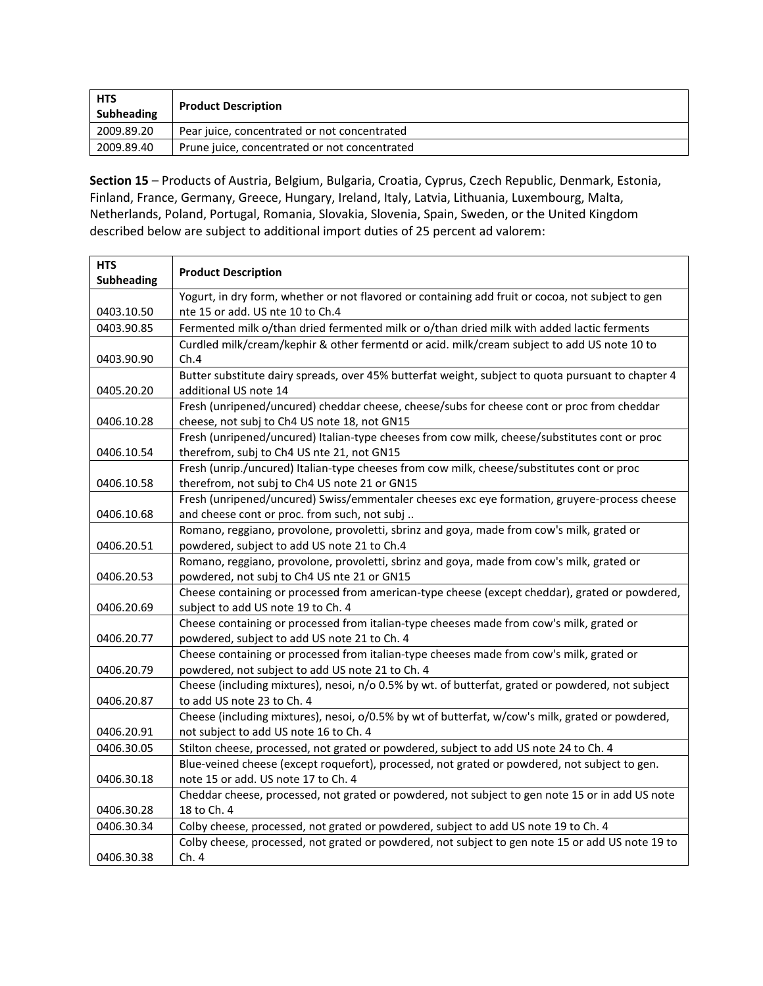| HTS<br>Subheading | <b>Product Description</b>                    |
|-------------------|-----------------------------------------------|
| 2009.89.20        | Pear juice, concentrated or not concentrated  |
| 2009.89.40        | Prune juice, concentrated or not concentrated |

**Section 15** – Products of Austria, Belgium, Bulgaria, Croatia, Cyprus, Czech Republic, Denmark, Estonia, Finland, France, Germany, Greece, Hungary, Ireland, Italy, Latvia, Lithuania, Luxembourg, Malta, Netherlands, Poland, Portugal, Romania, Slovakia, Slovenia, Spain, Sweden, or the United Kingdom described below are subject to additional import duties of 25 percent ad valorem:

| <b>HTS</b><br><b>Subheading</b> | <b>Product Description</b>                                                                                                                  |
|---------------------------------|---------------------------------------------------------------------------------------------------------------------------------------------|
| 0403.10.50                      | Yogurt, in dry form, whether or not flavored or containing add fruit or cocoa, not subject to gen<br>nte 15 or add. US nte 10 to Ch.4       |
| 0403.90.85                      | Fermented milk o/than dried fermented milk or o/than dried milk with added lactic ferments                                                  |
| 0403.90.90                      | Curdled milk/cream/kephir & other fermentd or acid. milk/cream subject to add US note 10 to<br>Ch.4                                         |
|                                 | Butter substitute dairy spreads, over 45% butterfat weight, subject to quota pursuant to chapter 4                                          |
| 0405.20.20                      | additional US note 14                                                                                                                       |
| 0406.10.28                      | Fresh (unripened/uncured) cheddar cheese, cheese/subs for cheese cont or proc from cheddar<br>cheese, not subj to Ch4 US note 18, not GN15  |
| 0406.10.54                      | Fresh (unripened/uncured) Italian-type cheeses from cow milk, cheese/substitutes cont or proc<br>therefrom, subj to Ch4 US nte 21, not GN15 |
| 0406.10.58                      | Fresh (unrip./uncured) Italian-type cheeses from cow milk, cheese/substitutes cont or proc<br>therefrom, not subj to Ch4 US note 21 or GN15 |
|                                 | Fresh (unripened/uncured) Swiss/emmentaler cheeses exc eye formation, gruyere-process cheese                                                |
| 0406.10.68                      | and cheese cont or proc. from such, not subj                                                                                                |
|                                 | Romano, reggiano, provolone, provoletti, sbrinz and goya, made from cow's milk, grated or                                                   |
| 0406.20.51                      | powdered, subject to add US note 21 to Ch.4                                                                                                 |
| 0406.20.53                      | Romano, reggiano, provolone, provoletti, sbrinz and goya, made from cow's milk, grated or<br>powdered, not subj to Ch4 US nte 21 or GN15    |
|                                 | Cheese containing or processed from american-type cheese (except cheddar), grated or powdered,                                              |
| 0406.20.69                      | subject to add US note 19 to Ch. 4                                                                                                          |
| 0406.20.77                      | Cheese containing or processed from italian-type cheeses made from cow's milk, grated or<br>powdered, subject to add US note 21 to Ch. 4    |
|                                 | Cheese containing or processed from italian-type cheeses made from cow's milk, grated or                                                    |
| 0406.20.79                      | powdered, not subject to add US note 21 to Ch. 4                                                                                            |
|                                 | Cheese (including mixtures), nesoi, n/o 0.5% by wt. of butterfat, grated or powdered, not subject<br>to add US note 23 to Ch. 4             |
| 0406.20.87                      | Cheese (including mixtures), nesoi, o/0.5% by wt of butterfat, w/cow's milk, grated or powdered,                                            |
| 0406.20.91                      | not subject to add US note 16 to Ch. 4                                                                                                      |
| 0406.30.05                      | Stilton cheese, processed, not grated or powdered, subject to add US note 24 to Ch. 4                                                       |
|                                 | Blue-veined cheese (except roquefort), processed, not grated or powdered, not subject to gen.                                               |
| 0406.30.18                      | note 15 or add. US note 17 to Ch. 4                                                                                                         |
|                                 | Cheddar cheese, processed, not grated or powdered, not subject to gen note 15 or in add US note                                             |
| 0406.30.28                      | 18 to Ch. 4                                                                                                                                 |
| 0406.30.34                      | Colby cheese, processed, not grated or powdered, subject to add US note 19 to Ch. 4                                                         |
| 0406.30.38                      | Colby cheese, processed, not grated or powdered, not subject to gen note 15 or add US note 19 to<br>Ch.4                                    |